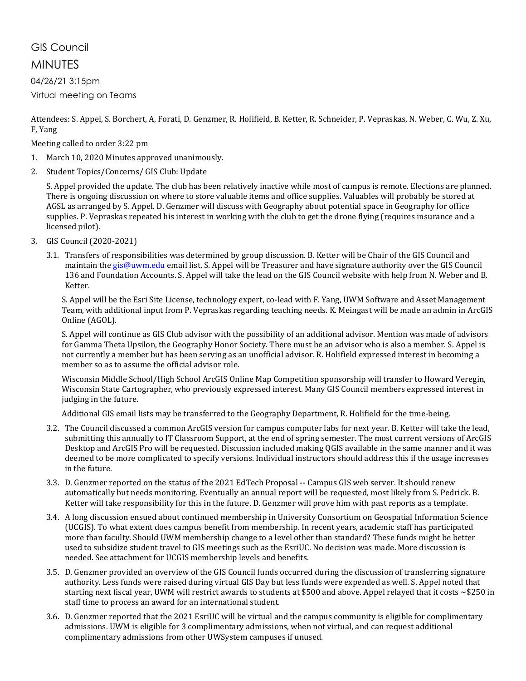# GIS Council MINUTES

04/26/21 3:15pm Virtual meeting on Teams

Attendees: S. Appel, S. Borchert, A, Forati, D. Genzmer, R. Holifield, B. Ketter, R. Schneider, P. Vepraskas, N. Weber, C. Wu, Z. Xu, F, Yang

Meeting called to order 3:22 pm

- 1. March 10, 2020 Minutes approved unanimously.
- 2. Student Topics/Concerns/ GIS Club: Update

S. Appel provided the update. The club has been relatively inactive while most of campus is remote. Elections are planned. There is ongoing discussion on where to store valuable items and office supplies. Valuables will probably be stored at AGSL as arranged by S. Appel. D. Genzmer will discuss with Geography about potential space in Geography for office supplies. P. Vepraskas repeated his interest in working with the club to get the drone flying (requires insurance and a licensed pilot).

- 3. GIS Council (2020-2021)
	- 3.1. Transfers of responsibilities was determined by group discussion. B. Ketter will be Chair of the GIS Council and maintain the [gis@uwm.edu](mailto:gis@uwm.edu) email list. S. Appel will be Treasurer and have signature authority over the GIS Council 136 and Foundation Accounts. S. Appel will take the lead on the GIS Council website with help from N. Weber and B. Ketter.

S. Appel will be the Esri Site License, technology expert, co-lead with F. Yang, UWM Software and Asset Management Team, with additional input from P. Vepraskas regarding teaching needs. K. Meingast will be made an admin in ArcGIS Online (AGOL).

S. Appel will continue as GIS Club advisor with the possibility of an additional advisor. Mention was made of advisors for Gamma Theta Upsilon, the Geography Honor Society. There must be an advisor who is also a member. S. Appel is not currently a member but has been serving as an unofficial advisor. R. Holifield expressed interest in becoming a member so as to assume the official advisor role.

Wisconsin Middle School/High School ArcGIS Online Map Competition sponsorship will transfer to Howard Veregin, Wisconsin State Cartographer, who previously expressed interest. Many GIS Council members expressed interest in judging in the future.

Additional GIS email lists may be transferred to the Geography Department, R. Holifield for the time-being.

- 3.2. The Council discussed a common ArcGIS version for campus computer labs for next year. B. Ketter will take the lead, submitting this annually to IT Classroom Support, at the end of spring semester. The most current versions of ArcGIS Desktop and ArcGIS Pro will be requested. Discussion included making QGIS available in the same manner and it was deemed to be more complicated to specify versions. Individual instructors should address this if the usage increases in the future.
- 3.3. D. Genzmer reported on the status of the 2021 EdTech Proposal -- Campus GIS web server. It should renew automatically but needs monitoring. Eventually an annual report will be requested, most likely from S. Pedrick. B. Ketter will take responsibility for this in the future. D. Genzmer will prove him with past reports as a template.
- 3.4. A long discussion ensued about continued membership in University Consortium on Geospatial Information Science (UCGIS). To what extent does campus benefit from membership. In recent years, academic staff has participated more than faculty. Should UWM membership change to a level other than standard? These funds might be better used to subsidize student travel to GIS meetings such as the EsriUC. No decision was made. More discussion is needed. See attachment for UCGIS membership levels and benefits.
- 3.5. D. Genzmer provided an overview of the GIS Council funds occurred during the discussion of transferring signature authority. Less funds were raised during virtual GIS Day but less funds were expended as well. S. Appel noted that starting next fiscal year, UWM will restrict awards to students at \$500 and above. Appel relayed that it costs ~\$250 in staff time to process an award for an international student.
- 3.6. D. Genzmer reported that the 2021 EsriUC will be virtual and the campus community is eligible for complimentary admissions. UWM is eligible for 3 complimentary admissions, when not virtual, and can request additional complimentary admissions from other UWSystem campuses if unused.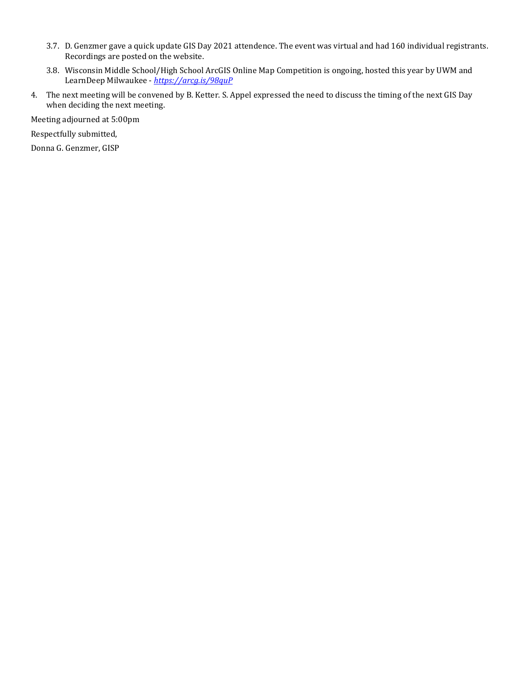- 3.7. D. Genzmer gave a quick update GIS Day 2021 attendence. The event was virtual and had 160 individual registrants. Recordings are posted on the website.
- 3.8. Wisconsin Middle School/High School ArcGIS Online Map Competition is ongoing, hosted this year by UWM and LearnDeep Milwaukee - *<https://arcg.is/98quP>*
- 4. The next meeting will be convened by B. Ketter. S. Appel expressed the need to discuss the timing of the next GIS Day when deciding the next meeting.

Meeting adjourned at 5:00pm

Respectfully submitted,

Donna G. Genzmer, GISP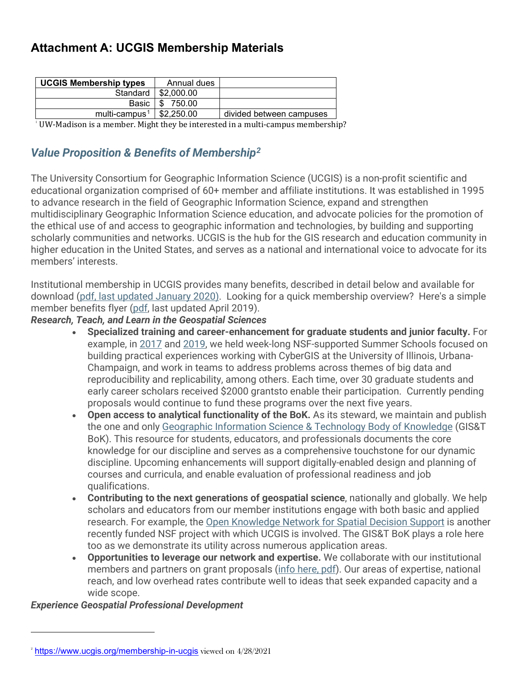# **Attachment A: UCGIS Membership Materials**

| Annual dues              |                          |
|--------------------------|--------------------------|
| Standard  <br>\$2,000.00 |                          |
| 750.00                   |                          |
| \$2,250,00               | divided between campuses |
|                          |                          |

1 UW-Madison is a member. Might they be interested in a multi-campus membership?

# *Value Proposition & Benefits of Membership[2](#page-2-1)*

The University Consortium for Geographic Information Science (UCGIS) is a non-profit scientific and educational organization comprised of 60+ member and affiliate institutions. It was established in 1995 to advance research in the field of Geographic Information Science, expand and strengthen multidisciplinary Geographic Information Science education, and advocate policies for the promotion of the ethical use of and access to geographic information and technologies, by building and supporting scholarly communities and networks. UCGIS is the hub for the GIS research and education community in higher education in the United States, and serves as a national and international voice to advocate for its members' interests.

Institutional membership in UCGIS provides many benefits, described in detail below and available for download [\(pdf,](https://www.ucgis.org/assets/docs/ucgis_valueproposition_march2017.pdf) last [updated](https://www.ucgis.org/assets/docs/UCGIS_Membership_Value_Proposition_2020.pdf) January 202[0\).](https://www.ucgis.org/assets/docs/UCGIS_Member_Proposition_2018.pdf) Looking for a quick membership overview? Here's a simple member benefits flyer [\(pdf,](https://www.ucgis.org/assets/docs/UCGIS_Membership_Flyer_Spring2019.pdf) last updated April 2019).

## *Research, Teach, and Learn in the Geospatial Sciences*

- **Specialized training and career-enhancement for graduate students and junior faculty.** For example, in [2017](https://www.ucgis.org/summer-school-2017) and [2019,](https://www.ucgis.org/summer-school-2019) we held week-long NSF-supported Summer Schools focused on building practical experiences working with CyberGIS at the University of Illinois, Urbana-Champaign, and work in teams to address problems across themes of big data and reproducibility and replicability, among others. Each time, over 30 graduate students and early career scholars received \$2000 grantsto enable their participation. Currently pending proposals would continue to fund these programs over the next five years.
- **Open access to analytical functionality of the BoK.** As its steward, we maintain and publish the one and only Geographic Information [Science & Technology](http://gistbok.ucgis.org/) Body of Knowledge (GIS&T BoK). This resource for students, educators, and professionals documents the core knowledge for our discipline and serves as a comprehensive touchstone for our dynamic discipline. Upcoming enhancements will support digitally-enabled design and planning of courses and curricula, and enable evaluation of professional readiness and job qualifications.
- **Contributing to the next generations of geospatial science**, nationally and globally. We help scholars and educators from our member institutions engage with both basic and applied research. For example, the Open [Knowledge](https://www.ucgis.org/oknsds) Network for Spatial Decision Support is another recently funded NSF project with which UCGIS is involved. The GIS&T BoK plays a role here too as we demonstrate its utility across numerous application areas.
- **Opportunities to leverage our network and expertise.** We collaborate with our institutional members and partners on grant proposals (info [here,](http://www.ucgis.org/assets/docs/UCGISResearchPartnershipInfoSheet113017.pdf) pdf). Our areas of expertise, national reach, and low overhead rates contribute well to ideas that seek expanded capacity and a wide scope.

#### *Experience Geospatial Professional Development*

<span id="page-2-1"></span><span id="page-2-0"></span><sup>&</sup>lt;sup>2</sup> <https://www.ucgis.org/membership-in-ucgis> viewed on 4/28/2021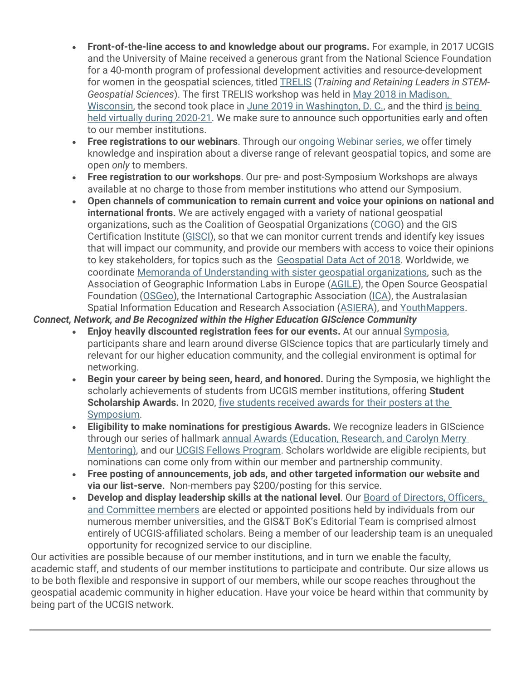- **Front-of-the-line access to and knowledge about our programs.** For example, in 2017 UCGIS and the University of Maine received a generous grant from the National Science Foundation for a 40-month program of professional development activities and resource-development for women in the geospatial sciences, titled [TRELIS](http://www.ucgis.org/trelis) (*Training and Retaining Leaders in STEM-Geospatial Sciences*). The first TRELIS workshop was held in May 2018 in [Madison,](http://www.ucgis.org/trelis-madison-2018) [Wisconsin,](http://www.ucgis.org/trelis-madison-2018) the second took place in June 2019 in [Washington, D. C.,](https://www.ucgis.org/trelis-washington-dc-2019) and the third is [being](https://www.ucgis.org/trelis-workshop-2020) held virtually during [2020-21.](https://www.ucgis.org/trelis-workshop-2020) We make sure to announce such opportunities early and often to our member institutions.
- **Free registrations to our webinars**. Through our [ongoing Webinar](http://www.ucgis.org/webinars) series, we offer timely knowledge and inspiration about a diverse range of relevant geospatial topics, and some are open *only* to members.
- **Free registration to our workshops**. Our pre- and post-Symposium Workshops are always available at no charge to those from member institutions who attend our Symposium.
- **Open channels of communication to remain current and voice your opinions on national and international fronts.** We are actively engaged with a variety of national geospatial organizations, such as the Coalition of Geospatial Organizations [\(COGO\)](http://cogo.pro/) and the GIS Certification Institute [\(GISCI\)](https://www.gisci.org/), so that we can monitor current trends and identify key issues that will impact our community, and provide our members with access to voice their opinions to key stakeholders, for topics such as the [Geospatial](https://crsreports.congress.gov/product/pdf/R/R45348) Data Act of 2018. Worldwide, we coordinate Memoranda [of Understanding with](http://www.ucgis.org/partners) sister geospatial organizations, such as the Association of Geographic Information Labs in Europe [\(AGILE\)](https://agile-online.org/), the Open Source Geospatial Foundation [\(OSGeo\)](https://www.osgeo.org/), the International Cartographic Association [\(ICA\)](http://icaci.org/), the Australasian Spatial Information Education and Research Association [\(ASIERA\)](http://www.asiera.org.au/), and [YouthMappers.](http://www.youthmappers.org/)

### *Connect, Network, and Be Recognized within the Higher Education GIScience Community*

- **Enjoy heavily discounted registration fees for our events.** At our annual [Symposia,](https://www.ucgis.org/symposia)  participants share and learn around diverse GIScience topics that are particularly timely and relevant for our higher education community, and the collegial environment is optimal for networking.
- **Begin your career by being seen, heard, and honored.** During the Symposia, we highlight the scholarly achievements of students from UCGIS member institutions, offering **Student Scholarship Awards.** In 2020, five [students](https://www.ucgis.org/poster-session-2020) received awards for their posters at the [Symposium.](https://www.ucgis.org/poster-session-2020)
- **Eligibility to make nominations for prestigious Awards.** We recognize leaders in GIScience through our series of hallmark annual Awards [\(Education,](http://www.ucgis.org/awards) Research, and Carolyn Merry [Mentoring\),](http://www.ucgis.org/awards) and our UCGIS Fellows [Program.](http://www.ucgis.org/fellows-program) Scholars worldwide are eligible recipients, but nominations can come only from within our member and partnership community.
- **Free posting of announcements, job ads, and other targeted information our website and via our list-serve.** Non-members pay \$200/posting for this service.
- **Develop and display leadership skills at the national level**. Our Board of [Directors,](http://www.ucgis.org/leadership) Officers, and [Committee](http://www.ucgis.org/leadership) members are elected or appointed positions held by individuals from our numerous member universities, and the GIS&T BoK's Editorial Team is comprised almost entirely of UCGIS-affiliated scholars. Being a member of our leadership team is an unequaled opportunity for recognized service to our discipline.

Our activities are possible because of our member institutions, and in turn we enable the faculty, academic staff, and students of our member institutions to participate and contribute. Our size allows us to be both flexible and responsive in support of our members, while our scope reaches throughout the geospatial academic community in higher education. Have your voice be heard within that community by being part of the UCGIS network.